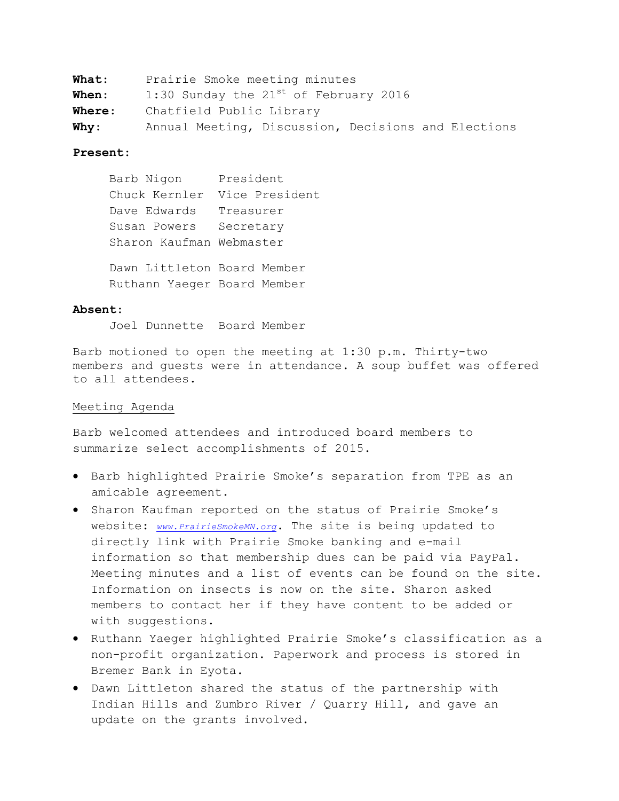| <b>What:</b>  | Prairie Smoke meeting minutes                       |
|---------------|-----------------------------------------------------|
| <b>When:</b>  | 1:30 Sunday the $21^{st}$ of February 2016          |
| <b>Where:</b> | Chatfield Public Library                            |
| <b>Why:</b>   | Annual Meeting, Discussion, Decisions and Elections |

## **Present**:

Barb Nigon President Chuck Kernler Vice President Dave Edwards Treasurer Susan Powers Secretary Sharon Kaufman Webmaster Dawn Littleton Board Member Ruthann Yaeger Board Member

## **Absent**:

Joel Dunnette Board Member

Barb motioned to open the meeting at 1:30 p.m. Thirty-two members and guests were in attendance. A soup buffet was offered to all attendees.

# Meeting Agenda

Barb welcomed attendees and introduced board members to summarize select accomplishments of 2015.

- Barb highlighted Prairie Smoke's separation from TPE as an amicable agreement.
- Sharon Kaufman reported on the status of Prairie Smoke's website: *[www.PrairieSmokeMN.org](http://www.prairiesmokemn.org/)*. The site is being updated to directly link with Prairie Smoke banking and e-mail information so that membership dues can be paid via PayPal. Meeting minutes and a list of events can be found on the site. Information on insects is now on the site. Sharon asked members to contact her if they have content to be added or with suggestions.
- Ruthann Yaeger highlighted Prairie Smoke's classification as a non-profit organization. Paperwork and process is stored in Bremer Bank in Eyota.
- Dawn Littleton shared the status of the partnership with Indian Hills and Zumbro River / Quarry Hill, and gave an update on the grants involved.